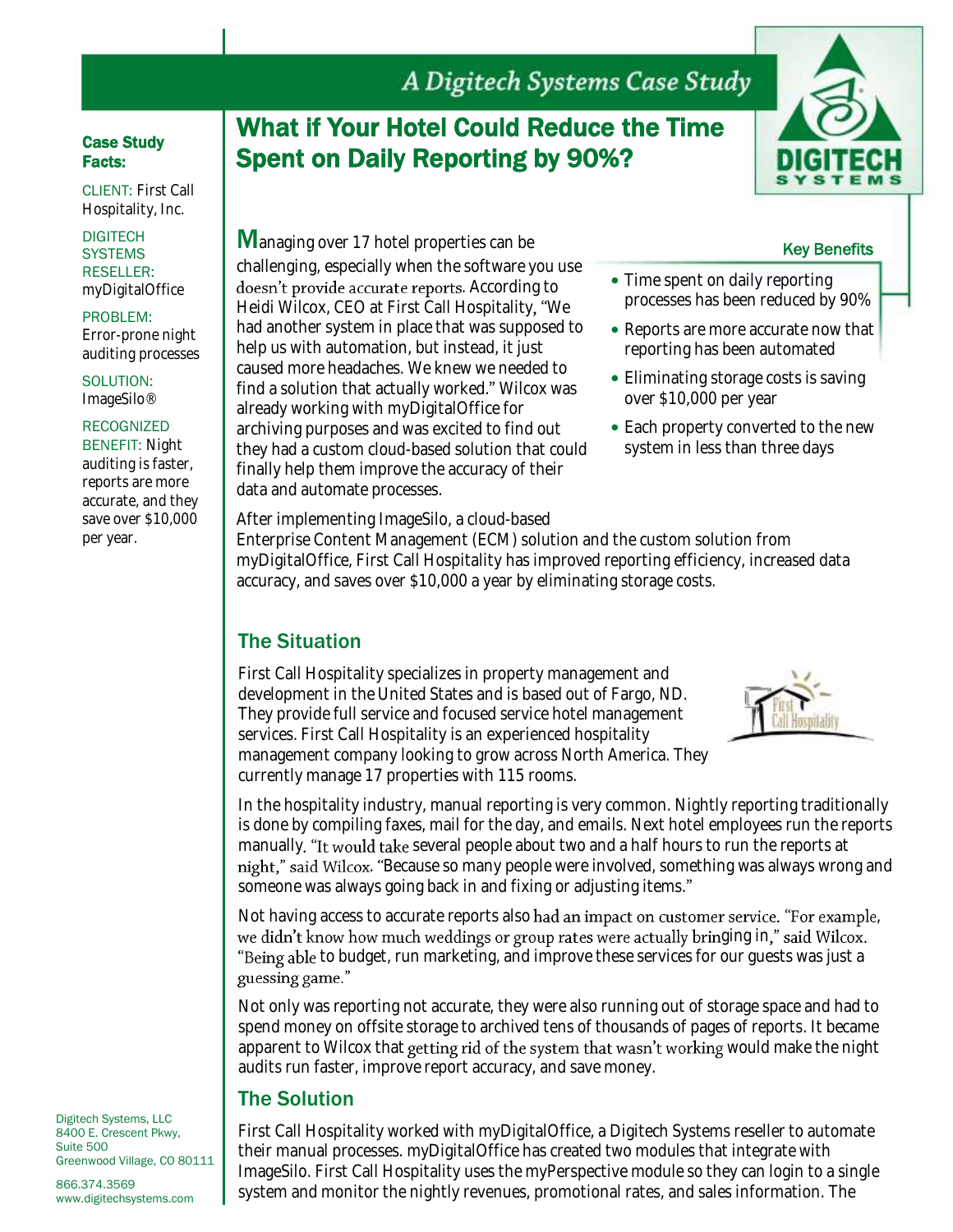### Case Study Facts:

CLIENT: First Call Hospitality, Inc.

#### **DIGITECH SYSTEMS** RESELLER: myDigitalOffice

PROBLEM: Error-prone night auditing processes

SOLUTION: ImageSilo®

#### RECOGNIZED

BENEFIT: Night auditing is faster, reports are more accurate, and they save over \$10,000 per year.

# What if Your Hotel Could Reduce the Time Spent on Daily Reporting by 90%?



### Key Benefits

- Time spent on daily reporting processes has been reduced by 90%
- Reports are more accurate now that reporting has been automated
- Eliminating storage costs is saving over \$10,000 per year
- Each property converted to the new system in less than three days

After implementing ImageSilo, a cloud-based

already working with myDigitalOffice for archiving purposes and was excited to find out they had a custom cloud-based solution that could finally help them improve the accuracy of their

data and automate processes.

**M**anaging over 17 hotel properties can be

challenging, especially when the software you use doesn't provide accurate reports. According to Heidi Wilcox, CEO at First Call Hospitality, "We had another system in place that was supposed to help us with automation, but instead, it just caused more headaches. We knew we needed to find a solution that actually worked." Wilcox was

Enterprise Content Management (ECM) solution and the custom solution from myDigitalOffice, First Call Hospitality has improved reporting efficiency, increased data accuracy, and saves over \$10,000 a year by eliminating storage costs.

## The Situation

First Call Hospitality specializes in property management and development in the United States and is based out of Fargo, ND. They provide full service and focused service hotel management services. First Call Hospitality is an experienced hospitality management company looking to grow across North America. They currently manage 17 properties with 115 rooms.



In the hospitality industry, manual reporting is very common. Nightly reporting traditionally is done by compiling faxes, mail for the day, and emails. Next hotel employees run the reports manually. "It would take several people about two and a half hours to run the reports at night," said Wilcox. "Because so many people were involved, something was always wrong and someone was always going back in and fixing or adjusting items.

Not having access to accurate reports also had an impact on customer service. "For example, we didn't know how much weddings or group rates were actually bringing in," said Wilcox. "Being able to budget, run marketing, and improve these services for our guests was just a guessing game."

Not only was reporting not accurate, they were also running out of storage space and had to spend money on offsite storage to archived tens of thousands of pages of reports. It became apparent to Wilcox that getting rid of the system that wasn't working would make the night audits run faster, improve report accuracy, and save money.

## The Solution

First Call Hospitality worked with myDigitalOffice, a Digitech Systems reseller to automate their manual processes. myDigitalOffice has created two modules that integrate with ImageSilo. First Call Hospitality uses the myPerspective module so they can login to a single system and monitor the nightly revenues, promotional rates, and sales information. The

Digitech Systems, LLC 8400 E. Crescent Pkwy, Suite 500 Greenwood Village, CO 80111

866.374.3569 www.digitechsystems.com